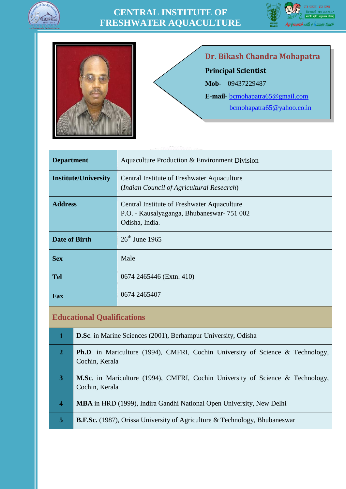

## **CENTRAL INSTITUTE OF FRESHWATER AQUACULTURE**





**Dr. Bikash Chandra Mohapatra Principal Scientist Mob-** 09437229487 **E-mail-** [bcmohapatra65@gmail.com](mailto:bcmohapatra65@gmail.com) [bcmohapatra65@yahoo.co.in](mailto:bcmohapatra65@yahoo.co.in)

| <b>Department</b>           | Aquaculture Production & Environment Division                                                              |
|-----------------------------|------------------------------------------------------------------------------------------------------------|
| <b>Institute/University</b> | Central Institute of Freshwater Aquaculture<br>(Indian Council of Agricultural Research)                   |
| <b>Address</b>              | Central Institute of Freshwater Aquaculture<br>P.O. - Kausalyaganga, Bhubaneswar-751 002<br>Odisha, India. |
| <b>Date of Birth</b>        | $26^{\text{th}}$ June 1965                                                                                 |
| <b>Sex</b>                  | Male                                                                                                       |
| <b>Tel</b>                  | 0674 2465446 (Extn. 410)                                                                                   |
| Fax                         | 0674 2465407                                                                                               |

### **Educational Qualifications**

| 1                       | <b>D.Sc.</b> in Marine Sciences (2001), Berhampur University, Odisha                                    |
|-------------------------|---------------------------------------------------------------------------------------------------------|
| $\overline{2}$          | <b>Ph.D.</b> in Mariculture (1994), CMFRI, Cochin University of Science & Technology,<br>Cochin, Kerala |
| 3                       | <b>M.Sc.</b> in Mariculture (1994), CMFRI, Cochin University of Science & Technology,<br>Cochin, Kerala |
| $\overline{\mathbf{4}}$ | <b>MBA</b> in HRD (1999), Indira Gandhi National Open University, New Delhi                             |
| 5                       | <b>B.F.Sc.</b> (1987), Orissa University of Agriculture & Technology, Bhubaneswar                       |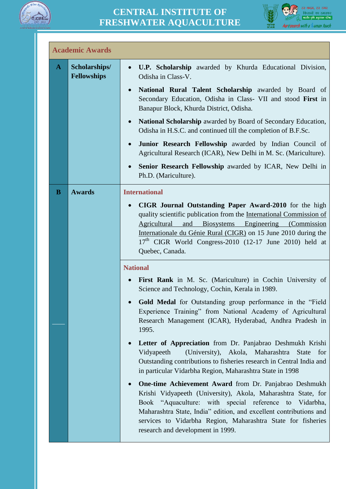



|              | <b>Academic Awards</b>              |                                                                                                                                                                                                                                                                                                                                                                                                                                                                                                                                                                                                                                                                                                                                                                                                                                                                                                                                                                                |
|--------------|-------------------------------------|--------------------------------------------------------------------------------------------------------------------------------------------------------------------------------------------------------------------------------------------------------------------------------------------------------------------------------------------------------------------------------------------------------------------------------------------------------------------------------------------------------------------------------------------------------------------------------------------------------------------------------------------------------------------------------------------------------------------------------------------------------------------------------------------------------------------------------------------------------------------------------------------------------------------------------------------------------------------------------|
| $\mathbf{A}$ | Scholarships/<br><b>Fellowships</b> | <b>U.P. Scholarship</b> awarded by Khurda Educational Division,<br>$\bullet$<br>Odisha in Class-V.                                                                                                                                                                                                                                                                                                                                                                                                                                                                                                                                                                                                                                                                                                                                                                                                                                                                             |
|              |                                     | National Rural Talent Scholarship awarded by Board of<br>Secondary Education, Odisha in Class- VII and stood First in<br>Banapur Block, Khurda District, Odisha.                                                                                                                                                                                                                                                                                                                                                                                                                                                                                                                                                                                                                                                                                                                                                                                                               |
|              |                                     | National Scholarship awarded by Board of Secondary Education,<br>$\bullet$<br>Odisha in H.S.C. and continued till the completion of B.F.Sc.                                                                                                                                                                                                                                                                                                                                                                                                                                                                                                                                                                                                                                                                                                                                                                                                                                    |
|              |                                     | Junior Research Fellowship awarded by Indian Council of<br>$\bullet$<br>Agricultural Research (ICAR), New Delhi in M. Sc. (Mariculture).                                                                                                                                                                                                                                                                                                                                                                                                                                                                                                                                                                                                                                                                                                                                                                                                                                       |
|              |                                     | Senior Research Fellowship awarded by ICAR, New Delhi in<br>Ph.D. (Mariculture).                                                                                                                                                                                                                                                                                                                                                                                                                                                                                                                                                                                                                                                                                                                                                                                                                                                                                               |
| B            | <b>Awards</b>                       | <b>International</b><br>CIGR Journal Outstanding Paper Award-2010 for the high<br>quality scientific publication from the International Commission of<br>Agricultural<br><b>Biosystems</b><br>Engineering<br>and<br>(Commission)<br>Internationale du Génie Rural (CIGR) on 15 June 2010 during the<br>$17th$ CIGR World Congress-2010 (12-17 June 2010) held at<br>Quebec, Canada.                                                                                                                                                                                                                                                                                                                                                                                                                                                                                                                                                                                            |
|              |                                     | <b>National</b><br>First Rank in M. Sc. (Mariculture) in Cochin University of<br>Science and Technology, Cochin, Kerala in 1989.<br>Gold Medal for Outstanding group performance in the "Field<br>Experience Training" from National Academy of Agricultural<br>Research Management (ICAR), Hyderabad, Andhra Pradesh in<br>1995.<br>Letter of Appreciation from Dr. Panjabrao Deshmukh Krishi<br>Vidyapeeth<br>(University), Akola, Maharashtra<br><b>State</b><br>for<br>Outstanding contributions to fisheries research in Central India and<br>in particular Vidarbha Region, Maharashtra State in 1998<br>One-time Achievement Award from Dr. Panjabrao Deshmukh<br>Krishi Vidyapeeth (University), Akola, Maharashtra State, for<br>Book "Aquaculture: with special reference to<br>Vidarbha,<br>Maharashtra State, India" edition, and excellent contributions and<br>services to Vidarbha Region, Maharashtra State for fisheries<br>research and development in 1999. |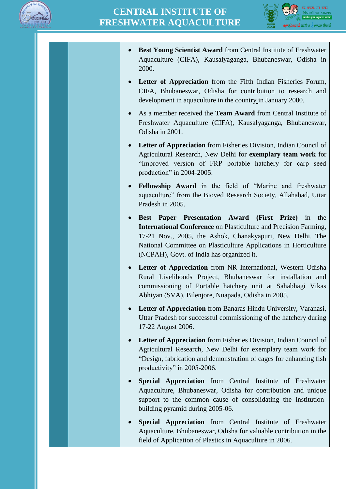



- **Best Young Scientist Award** from Central Institute of Freshwater Aquaculture (CIFA), Kausalyaganga, Bhubaneswar, Odisha in 2000.
- **Letter of Appreciation** from the Fifth Indian Fisheries Forum, CIFA, Bhubaneswar, Odisha for contribution to research and development in aquaculture in the country in January 2000.
- As a member received the **Team Award** from Central Institute of Freshwater Aquaculture (CIFA), Kausalyaganga, Bhubaneswar, Odisha in 2001.
- **Letter of Appreciation** from Fisheries Division, Indian Council of Agricultural Research, New Delhi for **exemplary team work** for "Improved version of FRP portable hatchery for carp seed production" in 2004-2005.
- **Fellowship Award** in the field of "Marine and freshwater aquaculture" from the Bioved Research Society, Allahabad, Uttar Pradesh in 2005.
- **Best Paper Presentation Award (First Prize)** in the **International Conference** on Plasticulture and Precision Farming, 17-21 Nov., 2005, the Ashok, Chanakyapuri, New Delhi. The National Committee on Plasticulture Applications in Horticulture (NCPAH), Govt. of India has organized it.
- **Letter of Appreciation** from NR International, Western Odisha Rural Livelihoods Project, Bhubaneswar for installation and commissioning of Portable hatchery unit at Sahabhagi Vikas Abhiyan (SVA), Bilenjore, Nuapada, Odisha in 2005.
- **Letter of Appreciation** from Banaras Hindu University, Varanasi, Uttar Pradesh for successful commissioning of the hatchery during 17-22 August 2006.
- **Letter of Appreciation** from Fisheries Division, Indian Council of Agricultural Research, New Delhi for exemplary team work for "Design, fabrication and demonstration of cages for enhancing fish productivity" in 2005-2006.
- **Special Appreciation** from Central Institute of Freshwater Aquaculture, Bhubaneswar, Odisha for contribution and unique support to the common cause of consolidating the Institutionbuilding pyramid during 2005-06.
- **Special Appreciation** from Central Institute of Freshwater Aquaculture, Bhubaneswar, Odisha for valuable contribution in the field of Application of Plastics in Aquaculture in 2006.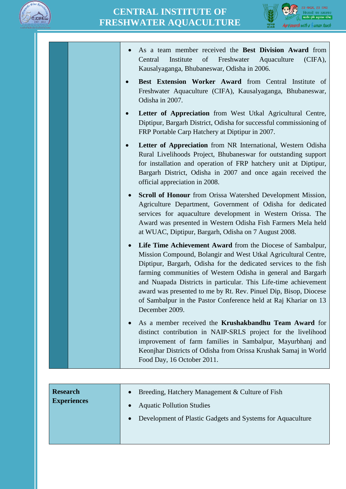



| As a team member received the Best Division Award from<br>Institute<br>of<br>Freshwater Aquaculture<br>Central<br>$(CIFA)$ ,<br>Kausalyaganga, Bhubaneswar, Odisha in 2006.                                                                                                                                                                                                                                                                                                                               |
|-----------------------------------------------------------------------------------------------------------------------------------------------------------------------------------------------------------------------------------------------------------------------------------------------------------------------------------------------------------------------------------------------------------------------------------------------------------------------------------------------------------|
| Best Extension Worker Award from Central Institute of<br>Freshwater Aquaculture (CIFA), Kausalyaganga, Bhubaneswar,<br>Odisha in 2007.                                                                                                                                                                                                                                                                                                                                                                    |
| Letter of Appreciation from West Utkal Agricultural Centre,<br>Diptipur, Bargarh District, Odisha for successful commissioning of<br>FRP Portable Carp Hatchery at Diptipur in 2007.                                                                                                                                                                                                                                                                                                                      |
| Letter of Appreciation from NR International, Western Odisha<br>Rural Livelihoods Project, Bhubaneswar for outstanding support<br>for installation and operation of FRP hatchery unit at Diptipur,<br>Bargarh District, Odisha in 2007 and once again received the<br>official appreciation in 2008.                                                                                                                                                                                                      |
| <b>Scroll of Honour</b> from Orissa Watershed Development Mission,<br>$\bullet$<br>Agriculture Department, Government of Odisha for dedicated<br>services for aquaculture development in Western Orissa. The<br>Award was presented in Western Odisha Fish Farmers Mela held<br>at WUAC, Diptipur, Bargarh, Odisha on 7 August 2008.                                                                                                                                                                      |
| Life Time Achievement Award from the Diocese of Sambalpur,<br>$\bullet$<br>Mission Compound, Bolangir and West Utkal Agricultural Centre,<br>Diptipur, Bargarh, Odisha for the dedicated services to the fish<br>farming communities of Western Odisha in general and Bargarh<br>and Nuapada Districts in particular. This Life-time achievement<br>award was presented to me by Rt. Rev. Pinuel Dip, Bisop, Diocese<br>of Sambalpur in the Pastor Conference held at Raj Khariar on 13<br>December 2009. |
| As a member received the <b>Krushakbandhu Team Award</b> for<br>$\bullet$<br>distinct contribution in NAIP-SRLS project for the livelihood<br>improvement of farm families in Sambalpur, Mayurbhanj and<br>Keonjhar Districts of Odisha from Orissa Krushak Samaj in World<br>Food Day, 16 October 2011.                                                                                                                                                                                                  |
|                                                                                                                                                                                                                                                                                                                                                                                                                                                                                                           |

| <b>Research</b><br><b>Experiences</b> | Breeding, Hatchery Management & Culture of Fish<br>$\bullet$            |
|---------------------------------------|-------------------------------------------------------------------------|
|                                       | <b>Aquatic Pollution Studies</b><br>$\bullet$                           |
|                                       | Development of Plastic Gadgets and Systems for Aquaculture<br>$\bullet$ |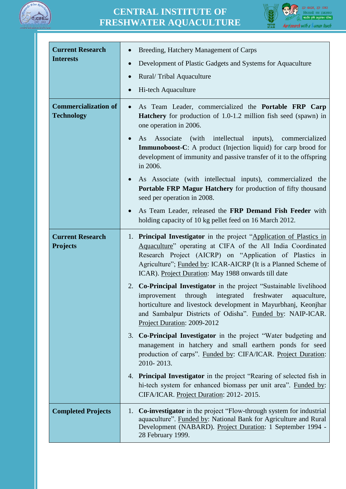

## **CENTRAL INSTITUTE OF FRESHWATER AQUACULTURE**



| <b>Current Research</b><br><b>Interests</b>      | Breeding, Hatchery Management of Carps<br>Development of Plastic Gadgets and Systems for Aquaculture<br>Rural/Tribal Aquaculture<br>Hi-tech Aquaculture                                                                                                                                                                 |
|--------------------------------------------------|-------------------------------------------------------------------------------------------------------------------------------------------------------------------------------------------------------------------------------------------------------------------------------------------------------------------------|
| <b>Commercialization of</b><br><b>Technology</b> | As Team Leader, commercialized the Portable FRP Carp<br>$\bullet$<br><b>Hatchery</b> for production of 1.0-1.2 million fish seed (spawn) in<br>one operation in 2006.                                                                                                                                                   |
|                                                  | Associate<br>(with intellectual)<br>inputs),<br>As<br>commercialized<br><b>Immunoboost-C</b> : A product (Injection liquid) for carp brood for<br>development of immunity and passive transfer of it to the offspring<br>in 2006.                                                                                       |
|                                                  | As Associate (with intellectual inputs), commercialized the<br>Portable FRP Magur Hatchery for production of fifty thousand<br>seed per operation in 2008.                                                                                                                                                              |
|                                                  | As Team Leader, released the FRP Demand Fish Feeder with<br>$\bullet$<br>holding capacity of 10 kg pellet feed on 16 March 2012.                                                                                                                                                                                        |
| <b>Current Research</b><br><b>Projects</b>       | 1. Principal Investigator in the project "Application of Plastics in<br>Aquaculture" operating at CIFA of the All India Coordinated<br>Research Project (AICRP) on "Application of Plastics in<br>Agriculture"; Funded by: ICAR-AICRP (It is a Planned Scheme of<br>ICAR). Project Duration: May 1988 onwards till date |
|                                                  | 2. Co-Principal Investigator in the project "Sustainable livelihood<br>improvement through integrated freshwater<br>aquaculture,<br>horticulture and livestock development in Mayurbhanj, Keonjhar<br>and Sambalpur Districts of Odisha". Funded by: NAIP-ICAR.<br>Project Duration: 2009-2012                          |
|                                                  | <b>Co-Principal Investigator</b> in the project "Water budgeting and<br>3.<br>management in hatchery and small earthern ponds for seed<br>production of carps". Funded by: CIFA/ICAR. Project Duration:<br>2010-2013.                                                                                                   |
|                                                  | 4. Principal Investigator in the project "Rearing of selected fish in<br>hi-tech system for enhanced biomass per unit area". Funded by:<br>CIFA/ICAR. Project Duration: 2012-2015.                                                                                                                                      |
| <b>Completed Projects</b>                        | <b>Co-investigator</b> in the project "Flow-through system for industrial<br>1.<br>aquaculture". Funded by: National Bank for Agriculture and Rural<br>Development (NABARD). Project Duration: 1 September 1994 -<br>28 February 1999.                                                                                  |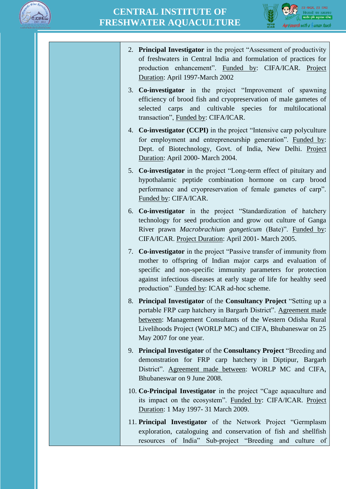



- 2. **Principal Investigator** in the project "Assessment of productivity of freshwaters in Central India and formulation of practices for production enhancement". Funded by: CIFA/ICAR. Project Duration: April 1997-March 2002
- 3. **Co-investigator** in the project "Improvement of spawning efficiency of brood fish and cryopreservation of male gametes of selected carps and cultivable species for multilocational transaction", Funded by: CIFA/ICAR.
- 4. **Co-investigator (CCPI)** in the project "Intensive carp polyculture for employment and entrepreneurship generation". Funded by: Dept. of Biotechnology, Govt. of India, New Delhi. Project Duration: April 2000- March 2004.
- 5. **Co-investigator** in the project "Long-term effect of pituitary and hypothalamic peptide combination hormone on carp brood performance and cryopreservation of female gametes of carp". Funded by: CIFA/ICAR.
- 6. **Co-investigator** in the project "Standardization of hatchery technology for seed production and grow out culture of Ganga River prawn *Macrobrachium gangeticum* (Bate)". Funded by: CIFA/ICAR. Project Duration: April 2001- March 2005.
- 7. **Co-investigator** in the project "Passive transfer of immunity from mother to offspring of Indian major carps and evaluation of specific and non-specific immunity parameters for protection against infectious diseases at early stage of life for healthy seed production" .Funded by: ICAR ad-hoc scheme.
- 8. **Principal Investigator** of the **Consultancy Project** "Setting up a portable FRP carp hatchery in Bargarh District". Agreement made between: Management Consultants of the Western Odisha Rural Livelihoods Project (WORLP MC) and CIFA, Bhubaneswar on 25 May 2007 for one year.
- 9. **Principal Investigator** of the **Consultancy Project** "Breeding and demonstration for FRP carp hatchery in Diptipur, Bargarh District". Agreement made between: WORLP MC and CIFA, Bhubaneswar on 9 June 2008.
- 10. **Co-Principal Investigator** in the project "Cage aquaculture and its impact on the ecosystem". Funded by: CIFA/ICAR. Project Duration: 1 May 1997- 31 March 2009.
- 11. **Principal Investigator** of the Network Project "Germplasm exploration, cataloguing and conservation of fish and shellfish resources of India" Sub-project "Breeding and culture of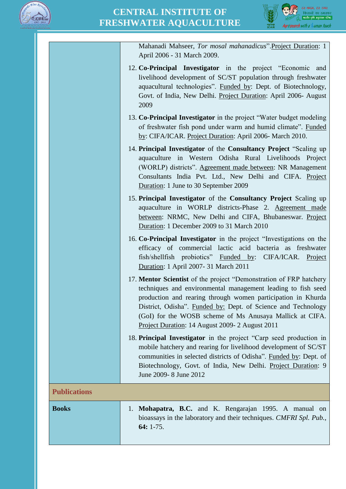



|                     | Mahanadi Mahseer, Tor mosal mahanadicus". Project Duration: 1<br>April 2006 - 31 March 2009.                                                                                                                                                                                                                                                                                       |
|---------------------|------------------------------------------------------------------------------------------------------------------------------------------------------------------------------------------------------------------------------------------------------------------------------------------------------------------------------------------------------------------------------------|
|                     | 12. Co-Principal Investigator in the project "Economic and<br>livelihood development of SC/ST population through freshwater<br>aquacultural technologies". Funded by: Dept. of Biotechnology,<br>Govt. of India, New Delhi. Project Duration: April 2006- August<br>2009                                                                                                           |
|                     | 13. Co-Principal Investigator in the project "Water budget modeling<br>of freshwater fish pond under warm and humid climate". Funded<br>by: CIFA/ICAR. Project Duration: April 2006- March 2010.                                                                                                                                                                                   |
|                     | 14. Principal Investigator of the Consultancy Project "Scaling up<br>aquaculture in Western Odisha Rural Livelihoods Project<br>(WORLP) districts". Agreement made between: NR Management<br>Consultants India Pvt. Ltd., New Delhi and CIFA. Project<br>Duration: 1 June to 30 September 2009                                                                                     |
|                     | 15. Principal Investigator of the Consultancy Project Scaling up<br>aquaculture in WORLP districts-Phase 2. Agreement made<br>between: NRMC, New Delhi and CIFA, Bhubaneswar. Project<br>Duration: 1 December 2009 to 31 March 2010                                                                                                                                                |
|                     | 16. Co-Principal Investigator in the project "Investigations on the<br>efficacy of commercial lactic acid bacteria as freshwater<br>fish/shellfish probiotics" Funded by: CIFA/ICAR. Project<br>Duration: 1 April 2007- 31 March 2011                                                                                                                                              |
|                     | 17. Mentor Scientist of the project "Demonstration of FRP hatchery<br>techniques and environmental management leading to fish seed<br>production and rearing through women participation in Khurda<br>District, Odisha". Funded by: Dept. of Science and Technology<br>(GoI) for the WOSB scheme of Ms Anusaya Mallick at CIFA.<br>Project Duration: 14 August 2009- 2 August 2011 |
|                     | 18. Principal Investigator in the project "Carp seed production in<br>mobile hatchery and rearing for livelihood development of SC/ST<br>communities in selected districts of Odisha". Funded by: Dept. of<br>Biotechnology, Govt. of India, New Delhi. Project Duration: 9<br>June 2009- 8 June 2012                                                                              |
| <b>Publications</b> |                                                                                                                                                                                                                                                                                                                                                                                    |
| <b>Books</b>        | Mohapatra, B.C. and K. Rengarajan 1995. A manual on<br>1.<br>bioassays in the laboratory and their techniques. CMFRI Spl. Pub.,<br>64: 1-75.                                                                                                                                                                                                                                       |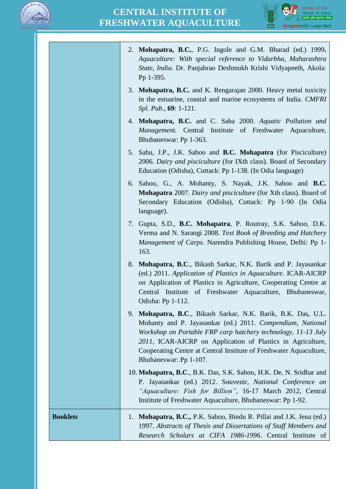



|                 | 2. Mohapatra, B.C., P.G. Ingole and G.M. Bharad (ed.) 1999.<br>Aquaculture: With special reference to Vidarbha, Maharashtra<br>State, India. Dr. Panjabrao Deshmukh Krishi Vidyapeeth, Akola:<br>Pp 1-395.                                                                                                                                                  |
|-----------------|-------------------------------------------------------------------------------------------------------------------------------------------------------------------------------------------------------------------------------------------------------------------------------------------------------------------------------------------------------------|
|                 | 3. Mohapatra, B.C. and K. Rengarajan 2000. Heavy metal toxicity<br>in the estuarine, coastal and marine ecosystems of India. CMFRI<br>Spl. Pub., 69: 1-121.                                                                                                                                                                                                 |
|                 | 4. Mohapatra, B.C. and C. Saha 2000. Aquatic Pollution and<br>Management. Central Institute of Freshwater Aquaculture,<br>Bhubaneswar: Pp 1-363.                                                                                                                                                                                                            |
|                 | 5. Sahu, J.P., J.K. Sahoo and <b>B.C. Mohapatra</b> (for Pisciculture)<br>2006. Dairy and pisciculture (for IXth class). Board of Secondary<br>Education (Odisha), Cuttack: Pp 1-138. (In Odia language)                                                                                                                                                    |
|                 | 6. Sahoo, G., A. Mohanty, S. Nayak, J.K. Sahoo and B.C.<br><b>Mohapatra</b> 2007. Dairy and pisciculture (for Xth class). Board of<br>Secondary Education (Odisha), Cuttack: Pp 1-90 (In Odia<br>language).                                                                                                                                                 |
|                 | 7. Gupta, S.D., B.C. Mohapatra, P. Routray, S.K. Sahoo, D.K.<br>Verma and N. Sarangi 2008. Text Book of Breeding and Hatchery<br><i>Management of Carps.</i> Narendra Publishing House, Delhi: Pp 1-<br>163.                                                                                                                                                |
|                 | 8. Mohapatra, B.C., Bikash Sarkar, N.K. Barik and P. Jayasankar<br>(ed.) 2011. Application of Plastics in Aquaculture. ICAR-AICRP<br>on Application of Plastics in Agriculture, Cooperating Centre at<br>Central Institute of Freshwater Aquaculture, Bhubaneswar,<br>Odisha: Pp 1-112.                                                                     |
|                 | 9. Mohapatra, B.C., Bikash Sarkar, N.K. Barik, B.K. Das, U.L.<br>Mohanty and P. Jayasankar (ed.) 2011. Compendium, National<br>Workshop on Portable FRP carp hatchery technology, 11-13 July<br>2011, ICAR-AICRP on Application of Plastics in Agriculture,<br>Cooperating Centre at Central Institute of Freshwater Aquaculture,<br>Bhubaneswar: Pp 1-107. |
|                 | 10. Mohapatra, B.C., B.K. Das, S.K. Sahoo, H.K. De, N. Sridhar and<br>P. Jayasankar (ed.) 2012. Souvenir, National Conference on<br>"Aquaculture: Fish for Billion", 16-17 March 2012, Central<br>Institute of Freshwater Aquaculture, Bhubaneswar: Pp 1-92.                                                                                                |
| <b>Booklets</b> | 1. Mohapatra, B.C., P.K. Sahoo, Bindu R. Pillai and J.K. Jena (ed.)<br>1997. Abstracts of Thesis and Dissertations of Staff Members and<br>Research Scholars at CIFA 1986-1996. Central Institute of                                                                                                                                                        |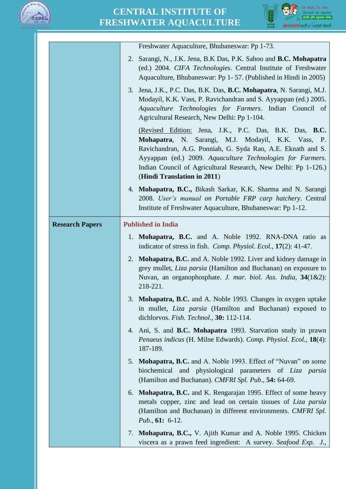



|                        | Freshwater Aquaculture, Bhubaneswar: Pp 1-73.                                                                                                                                                                                                                                                                                              |
|------------------------|--------------------------------------------------------------------------------------------------------------------------------------------------------------------------------------------------------------------------------------------------------------------------------------------------------------------------------------------|
|                        | 2. Sarangi, N., J.K. Jena, B.K Das, P.K. Sahoo and B.C. Mohapatra<br>(ed.) 2004. CIFA Technologies. Central Institute of Freshwater<br>Aquaculture, Bhubaneswar: Pp 1-57. (Published in Hindi in 2005)                                                                                                                                     |
|                        | Jena, J.K., P.C. Das, B.K. Das, B.C. Mohapatra, N. Sarangi, M.J.<br>3.<br>Modayil, K.K. Vass, P. Ravichandran and S. Ayyappan (ed.) 2005.<br>Aquaculture Technologies for Farmers. Indian Council of<br>Agricultural Research, New Delhi: Pp 1-104.                                                                                        |
|                        | (Revised Edition: Jena, J.K., P.C. Das, B.K. Das, B.C.<br>Mohapatra, N. Sarangi, M.J. Modayil, K.K. Vass, P.<br>Ravichandran, A.G. Ponniah, G. Syda Rao, A.E. Eknath and S.<br>Ayyappan (ed.) 2009. Aquaculture Technologies for Farmers.<br>Indian Council of Agricultural Research, New Delhi: Pp 1-126.)<br>(Hindi Translation in 2011) |
|                        | 4. Mohapatra, B.C., Bikash Sarkar, K.K. Sharma and N. Sarangi<br>2008. User's manual on Portable FRP carp hatchery. Central<br>Institute of Freshwater Aquaculture, Bhubaneswar: Pp 1-12.                                                                                                                                                  |
| <b>Research Papers</b> | <b>Published in India</b>                                                                                                                                                                                                                                                                                                                  |
|                        | 1. Mohapatra, B.C. and A. Noble 1992. RNA-DNA ratio as<br>indicator of stress in fish. <i>Comp. Physiol. Ecol.</i> , <b>17</b> (2): 41-47.                                                                                                                                                                                                 |
|                        | 2. Mohapatra, B.C. and A. Noble 1992. Liver and kidney damage in<br>grey mullet, Liza parsia (Hamilton and Buchanan) on exposure to<br>Nuvan, an organophosphate. J. mar. biol. Ass. India, 34(1&2):<br>218-221.                                                                                                                           |
|                        | 3. Mohapatra, B.C. and A. Noble 1993. Changes in oxygen uptake<br>in mullet, Liza parsia (Hamilton and Buchanan) exposed to<br>dichlorvos. Fish. Technol., 30: 112-114.                                                                                                                                                                    |
|                        | 4. Ani, S. and <b>B.C. Mohapatra</b> 1993. Starvation study in prawn<br>Penaeus indicus (H. Milne Edwards). Comp. Physiol. Ecol., 18(4):<br>187-189.                                                                                                                                                                                       |
|                        | 5. Mohapatra, B.C. and A. Noble 1993. Effect of "Nuvan" on some<br>biochemical and physiological parameters of Liza parsia<br>(Hamilton and Buchanan). CMFRI Spl. Pub., 54: 64-69.                                                                                                                                                         |
|                        | 6. Mohapatra, B.C. and K. Rengarajan 1995. Effect of some heavy<br>metals copper, zinc and lead on certain tissues of Liza parsia<br>(Hamilton and Buchanan) in different environments. CMFRI Spl.<br><i>Pub.</i> , $61: 6-12$ .                                                                                                           |
|                        | 7. Mohapatra, B.C., V. Ajith Kumar and A. Noble 1995. Chicken<br>viscera as a prawn feed ingredient: A survey. Seafood Exp. J.,                                                                                                                                                                                                            |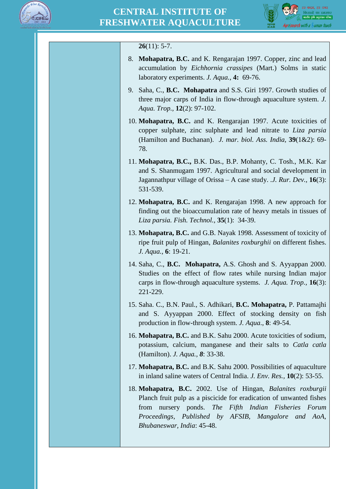



### **26**(11): 5-7.

- 8. **Mohapatra, B.C.** and K. Rengarajan 1997. Copper, zinc and lead accumulation by *Eichhornia crassipes* (Mart.) Solms in static laboratory experiments. *J. Aqua.,* **4:** 69-76.
- 9. Saha, C., **B.C. Mohapatra** and S.S. Giri 1997. Growth studies of three major carps of India in flow-through aquaculture system. *J. Aqua. Trop.,* **12**(2): 97-102.
- 10. **Mohapatra, B.C.** and K. Rengarajan 1997. Acute toxicities of copper sulphate, zinc sulphate and lead nitrate to *Liza parsia*  (Hamilton and Buchanan). *J. mar. biol. Ass. India,* **39**(1&2): 69- 78.
- 11. **Mohapatra, B.C.,** B.K. Das., B.P. Mohanty, C. Tosh., M.K. Kar and S. Shanmugam 1997. Agricultural and social development in Jagannathpur village of Orissa – A case study. .*J. Rur. Dev.,* **16**(3): 531-539.
- 12. **Mohapatra, B.C.** and K. Rengarajan 1998. A new approach for finding out the bioaccumulation rate of heavy metals in tissues of *Liza parsia. Fish. Technol.,* **35**(1):34-39.
- 13. **Mohapatra, B.C.** and G.B. Nayak 1998. Assessment of toxicity of ripe fruit pulp of Hingan, *Balanites roxburghii* on different fishes. *J. Aqua.,* **6**: 19-21.
- 14. Saha, C., **B.C. Mohapatra,** A.S. Ghosh and S. Ayyappan 2000. Studies on the effect of flow rates while nursing Indian major carps in flow-through aquaculture systems. *J. Aqua. Trop.,* **16**(3): 221-229.
- 15. Saha. C., B.N. Paul., S. Adhikari, **B.C. Mohapatra,** P. Pattamajhi and S. Ayyappan 2000. Effect of stocking density on fish production in flow-through system. *J. Aqua*., **8**: 49-54.
- 16. **Mohapatra, B.C.** and B.K. Sahu 2000. Acute toxicities of sodium, potassium, calcium, manganese and their salts to *Catla catla* (Hamilton). *J. Aqua., 8*: 33-38.
- 17. **Mohapatra, B.C.** and B.K. Sahu 2000. Possibilities of aquaculture in inland saline waters of Central India. *J. Env. Res.,* **10**(2): 53-55.
- 18. **Mohapatra, B.C.** 2002. Use of Hingan, *Balanites roxburgii* Planch fruit pulp as a piscicide for eradication of unwanted fishes from nursery ponds. *The Fifth Indian Fisheries Forum Proceedings, Published by AFSIB, Mangalore and AoA, Bhubaneswar, India*: 45-48.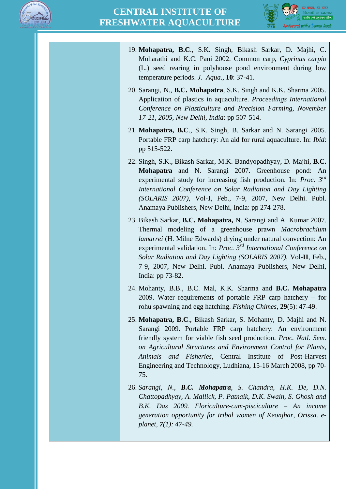



- 19. **Mohapatra, B.C**., S.K. Singh, Bikash Sarkar, D. Majhi, C. Moharathi and K.C. Pani 2002. Common carp, *Cyprinus carpio* (L.) seed rearing in polyhouse pond environment during low temperature periods. *J. Aqua.,* **10**: 37-41.
- 20. Sarangi, N., **B.C. Mohapatra**, S.K. Singh and K.K. Sharma 2005. Application of plastics in aquaculture. *Proceedings International Conference on Plasticulture and Precision Farming, November 17-21, 2005, New Delhi, India*: pp 507-514.
- 21. **Mohapatra, B.C**., S.K. Singh, B. Sarkar and N. Sarangi 2005. Portable FRP carp hatchery: An aid for rural aquaculture. In: *Ibid*: pp 515-522.
- 22. Singh, S.K., Bikash Sarkar, M.K. Bandyopadhyay, D. Majhi, **B.C. Mohapatra** and N. Sarangi 2007. Greenhouse pond: An experimental study for increasing fish production. In: *Proc. 3rd International Conference on Solar Radiation and Day Lighting (SOLARIS 2007)*, Vol-**I**, Feb., 7-9, 2007, New Delhi. Publ. Anamaya Publishers, New Delhi, India: pp 274-278.
- 23. Bikash Sarkar, **B.C. Mohapatra,** N. Sarangi and A. Kumar 2007. Thermal modeling of a greenhouse prawn *Macrobrachium lamarrei* (H. Milne Edwards) drying under natural convection: An experimental validation. In: *Proc. 3rd International Conference on Solar Radiation and Day Lighting (SOLARIS 2007)*, Vol-**II**, Feb., 7-9, 2007, New Delhi. Publ. Anamaya Publishers, New Delhi, India: pp 73-82.
- 24. Mohanty, B.B., B.C. Mal, K.K. Sharma and **B.C. Mohapatra** 2009. Water requirements of portable FRP carp hatchery – for rohu spawning and egg hatching. *Fishing Chimes*, **29**(5): 47-49.
- 25. **Mohapatra, B.C**., Bikash Sarkar, S. Mohanty, D. Majhi and N. Sarangi 2009. Portable FRP carp hatchery: An environment friendly system for viable fish seed production. *Proc. Natl. Sem. on Agricultural Structures and Environment Control for Plants, Animals and Fisheries*, Central Institute of Post-Harvest Engineering and Technology, Ludhiana, 15-16 March 2008, pp 70- 75.
- 26. *Sarangi, N., B.C. Mohapatra, S. Chandra, H.K. De, D.N. Chattopadhyay, A. Mallick, P. Patnaik, D.K. Swain, S. Ghosh and B.K. Das 2009. Floriculture-cum-pisciculture – An income generation opportunity for tribal women of Keonjhar, Orissa. eplanet, 7(1): 47-49.*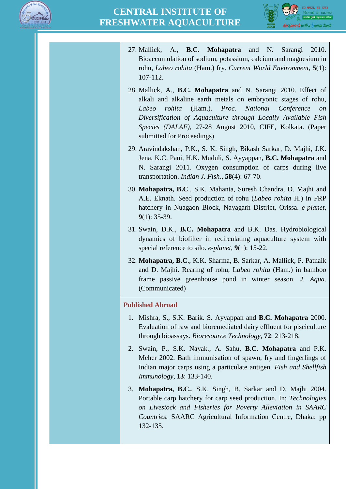



- 27. Mallick, A., **B.C. Mohapatra** and N. Sarangi 2010. Bioaccumulation of sodium, potassium, calcium and magnesium in rohu, *Labeo rohita* (Ham.) fry. *Current World Environment*, **5**(1): 107-112.
- 28. Mallick, A., **B.C. Mohapatra** and N. Sarangi 2010. Effect of alkali and alkaline earth metals on embryonic stages of rohu, *Labeo rohita* (Ham.). *Proc. National Conference on Diversification of Aquaculture through Locally Available Fish Species (DALAF),* 27-28 August 2010, CIFE, Kolkata. (Paper submitted for Proceedings)
- 29. Aravindakshan, P.K., S. K. Singh, Bikash Sarkar, D. Majhi, J.K. Jena, K.C. Pani, H.K. Muduli, S. Ayyappan, **B.C. Mohapatra** and N. Sarangi 2011. Oxygen consumption of carps during live transportation. *Indian J. Fish*., **58**(4): 67-70.
- 30. **Mohapatra, B.C**., S.K. Mahanta, Suresh Chandra, D. Majhi and A.E. Eknath. Seed production of rohu (*Labeo rohita* H.) in FRP hatchery in Nuagaon Block, Nayagarh District, Orissa. *e-planet,*  **9**(1): 35-39.
- 31. Swain, D.K., **B.C. Mohapatra** and B.K. Das. Hydrobiological dynamics of biofilter in recirculating aquaculture system with special reference to silo. *e-planet*, **9**(1): 15-22.
- 32. **Mohapatra, B.C**., K.K. Sharma, B. Sarkar, A. Mallick, P. Patnaik and D. Majhi. Rearing of rohu, L*abeo rohita* (Ham.) in bamboo frame passive greenhouse pond in winter season. *J. Aqua*. (Communicated)

#### **Published Abroad**

- 1. Mishra, S., S.K. Barik. S. Ayyappan and **B.C. Mohapatra** 2000. Evaluation of raw and bioremediated dairy effluent for pisciculture through bioassays. *Bioresource Technology,* **72**: 213-218.
- 2. Swain, P., S.K. Nayak., A. Sahu, **B.C. Mohapatra** and P.K. Meher 2002. Bath immunisation of spawn, fry and fingerlings of Indian major carps using a particulate antigen. *Fish and Shellfish Immunology,* **13**: 133-140.
- 3. **Mohapatra, B.C.**, S.K. Singh, B. Sarkar and D. Majhi 2004. Portable carp hatchery for carp seed production. In: *Technologies on Livestock and Fisheries for Poverty Alleviation in SAARC Countries.* SAARC Agricultural Information Centre, Dhaka: pp 132-135.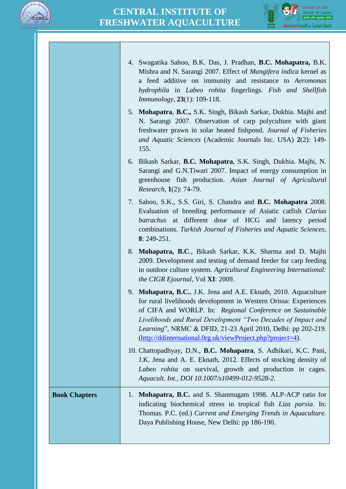



|                      | 4. Swagatika Sahoo, B.K. Das, J. Pradhan, B.C. Mohapatra, B.K.<br>Mishra and N. Sarangi 2007. Effect of <i>Mangifera indica</i> kernel as<br>a feed additive on immunity and resistance to Aeromonas<br>hydrophila in Labeo rohita fingerlings. Fish and Shellfish<br><i>Immunology</i> , 23(1): 109-118.                                                                                       |
|----------------------|-------------------------------------------------------------------------------------------------------------------------------------------------------------------------------------------------------------------------------------------------------------------------------------------------------------------------------------------------------------------------------------------------|
|                      | 5. Mohapatra, B.C., S.K. Singh, Bikash Sarkar, Dukhia. Majhi and<br>N. Sarangi 2007. Observation of carp polyculture with giant<br>freshwater prawn in solar heated fishpond. Journal of Fisheries<br>and Aquatic Sciences (Academic Journals Inc. USA) 2(2): 149-<br>155.                                                                                                                      |
|                      | 6. Bikash Sarkar, <b>B.C. Mohapatra</b> , S.K. Singh, Dukhia. Majhi, N.<br>Sarangi and G.N.Tiwari 2007. Impact of energy consumption in<br>greenhouse fish production. Asian Journal of Agricultural<br>Research, 1(2): 74-79.                                                                                                                                                                  |
|                      | 7. Sahoo, S.K., S.S. Giri, S. Chandra and <b>B.C. Mohapatra</b> 2008.<br>Evaluation of breeding performance of Asiatic catfish Clarias<br>batrachus at different dose of HCG and latency period<br>combinations. Turkish Journal of Fisheries and Aquatic Sciences,<br>$8: 249 - 251.$                                                                                                          |
|                      | 8. Mohapatra, B.C., Bikash Sarkar, K.K. Sharma and D. Majhi<br>2009. Development and testing of demand feeder for carp feeding<br>in outdoor culture system. Agricultural Engineering International:<br>the CIGR Ejournal, Vol XI: 2009.                                                                                                                                                        |
|                      | 9. Mohapatra, B.C., J.K. Jena and A.E. Eknath, 2010. Aquaculture<br>for rural livelihoods development in Western Orissa: Experiences<br>of CIFA and WORLP. In: Regional Conference on Sustainable<br>Livelihoods and Rural Development "Two Decades of Impact and<br>Learning", NRMC & DFID, 21-23 April 2010, Delhi: pp 202-219.<br>(http://ddinternational.0rg.uk/viewProject.php?project=4). |
|                      | 10. Chattopadhyay, D.N., B.C. Mohapatra, S. Adhikari, K.C. Pani,<br>J.K. Jena and A. E. Eknath, 2012. Effects of stocking density of<br>Labeo rohita on survival, growth and production in cages.<br>Aquacult. Int., DOI 10.1007/s10499-012-9528-2.                                                                                                                                             |
| <b>Book Chapters</b> | Mohapatra, B.C. and S. Shanmugam 1998. ALP-ACP ratio for<br>1.<br>indicating biochemical stress in tropical fish Liza parsia. In:<br>Thomas. P.C. (ed.) Current and Emerging Trends in Aquaculture.<br>Daya Publishing House, New Delhi: pp 186-190.                                                                                                                                            |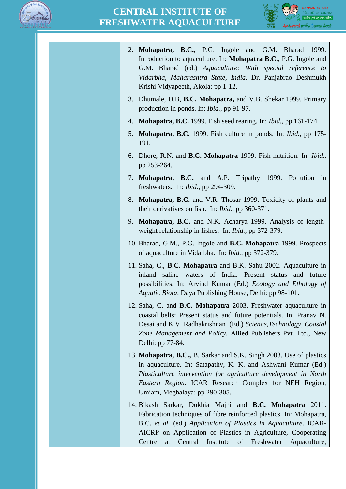



| 2. Mohapatra, B.C., P.G. Ingole and G.M. Bharad<br>1999.<br>Introduction to aquaculture. In: <b>Mohapatra B.C.</b> , P.G. Ingole and<br>G.M. Bharad (ed.) Aquaculture: With special reference to<br>Vidarbha, Maharashtra State, India. Dr. Panjabrao Deshmukh<br>Krishi Vidyapeeth, Akola: pp 1-12.                                        |
|---------------------------------------------------------------------------------------------------------------------------------------------------------------------------------------------------------------------------------------------------------------------------------------------------------------------------------------------|
| 3. Dhumale, D.B, B.C. Mohapatra, and V.B. Shekar 1999. Primary<br>production in ponds. In: <i>Ibid.</i> , pp 91-97.                                                                                                                                                                                                                         |
| <b>Mohapatra, B.C.</b> 1999. Fish seed rearing. In: <i>Ibid.</i> , pp 161-174.<br>4.                                                                                                                                                                                                                                                        |
| 5. Mohapatra, B.C. 1999. Fish culture in ponds. In: <i>Ibid.</i> , pp 175-<br>191.                                                                                                                                                                                                                                                          |
| 6. Dhore, R.N. and <b>B.C. Mohapatra</b> 1999. Fish nutrition. In: <i>Ibid.</i> ,<br>pp 253-264.                                                                                                                                                                                                                                            |
| 7. Mohapatra, B.C. and A.P. Tripathy 1999. Pollution<br>in<br>freshwaters. In: Ibid., pp 294-309.                                                                                                                                                                                                                                           |
| Mohapatra, B.C. and V.R. Thosar 1999. Toxicity of plants and<br>8.<br>their derivatives on fish. In: <i>Ibid.</i> , pp 360-371.                                                                                                                                                                                                             |
| 9.<br>Mohapatra, B.C. and N.K. Acharya 1999. Analysis of length-<br>weight relationship in fishes. In: <i>Ibid.</i> , pp 372-379.                                                                                                                                                                                                           |
| 10. Bharad, G.M., P.G. Ingole and <b>B.C. Mohapatra</b> 1999. Prospects<br>of aquaculture in Vidarbha. In: <i>Ibid.</i> , pp 372-379.                                                                                                                                                                                                       |
| 11. Saha, C., <b>B.C. Mohapatra</b> and B.K. Sahu 2002. Aquaculture in<br>inland saline waters of India: Present status<br>and future<br>possibilities. In: Arvind Kumar (Ed.) <i>Ecology and Ethology of</i><br>Aquatic Biota, Daya Publishing House, Delhi: pp 98-101.                                                                    |
| 12. Saha, C. and <b>B.C. Mohapatra</b> 2003. Freshwater aquaculture in<br>coastal belts: Present status and future potentials. In: Pranav N.<br>Desai and K.V. Radhakrishnan (Ed.) Science, Technology, Coastal<br>Zone Management and Policy. Allied Publishers Pvt. Ltd., New<br>Delhi: pp 77-84.                                         |
| 13. Mohapatra, B.C., B. Sarkar and S.K. Singh 2003. Use of plastics<br>in aquaculture. In: Satapathy, K. K. and Ashwani Kumar (Ed.)<br>Plasticulture intervention for agriculture development in North<br>Eastern Region. ICAR Research Complex for NEH Region,<br>Umiam, Meghalaya: pp 290-305.                                            |
| 14. Bikash Sarkar, Dukhia Majhi and B.C. Mohapatra 2011.<br>Fabrication techniques of fibre reinforced plastics. In: Mohapatra,<br>B.C. et al. (ed.) Application of Plastics in Aquaculture. ICAR-<br>AICRP on Application of Plastics in Agriculture, Cooperating<br>Central<br>Institute<br>of Freshwater<br>Centre<br>Aquaculture,<br>at |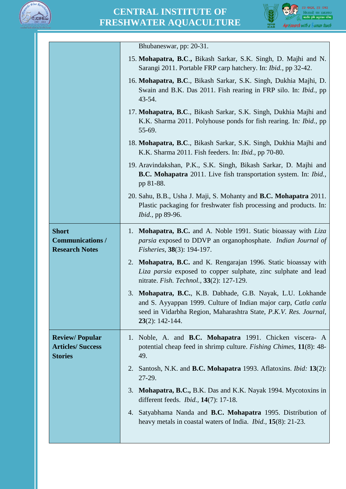

# **CENTRAL INSTITUTE OF FRESHWATER AQUACULTURE**



|                                                                     | Bhubaneswar, pp: 20-31.                                                                                                                                                                                                 |
|---------------------------------------------------------------------|-------------------------------------------------------------------------------------------------------------------------------------------------------------------------------------------------------------------------|
|                                                                     | 15. Mohapatra, B.C., Bikash Sarkar, S.K. Singh, D. Majhi and N.<br>Sarangi 2011. Portable FRP carp hatchery. In: Ibid., pp 32-42.                                                                                       |
|                                                                     | 16. Mohapatra, B.C., Bikash Sarkar, S.K. Singh, Dukhia Majhi, D.<br>Swain and B.K. Das 2011. Fish rearing in FRP silo. In: <i>Ibid.</i> , pp<br>$43 - 54.$                                                              |
|                                                                     | 17. Mohapatra, B.C., Bikash Sarkar, S.K. Singh, Dukhia Majhi and<br>K.K. Sharma 2011. Polyhouse ponds for fish rearing. In: <i>Ibid.</i> , pp<br>55-69.                                                                 |
|                                                                     | 18. Mohapatra, B.C., Bikash Sarkar, S.K. Singh, Dukhia Majhi and<br>K.K. Sharma 2011. Fish feeders. In: Ibid., pp 70-80.                                                                                                |
|                                                                     | 19. Aravindakshan, P.K., S.K. Singh, Bikash Sarkar, D. Majhi and<br><b>B.C. Mohapatra</b> 2011. Live fish transportation system. In: <i>Ibid.</i> ,<br>pp 81-88.                                                        |
|                                                                     | 20. Sahu, B.B., Usha J. Maji, S. Mohanty and B.C. Mohapatra 2011.<br>Plastic packaging for freshwater fish processing and products. In:<br><i>Ibid.</i> , pp 89-96.                                                     |
| <b>Short</b><br><b>Communications /</b><br><b>Research Notes</b>    | <b>Mohapatra, B.C.</b> and A. Noble 1991. Static bioassay with <i>Liza</i><br>1.<br><i>parsia</i> exposed to DDVP an organophosphate. <i>Indian Journal of</i><br><i>Fisheries</i> , 38(3): 194-197.                    |
|                                                                     | <b>Mohapatra, B.C.</b> and K. Rengarajan 1996. Static bioassay with<br>2.<br>Liza parsia exposed to copper sulphate, zinc sulphate and lead<br>nitrate. Fish. Technol., 33(2): 127-129.                                 |
|                                                                     | 3. Mohapatra, B.C., K.B. Dabhade, G.B. Nayak, L.U. Lokhande<br>and S. Ayyappan 1999. Culture of Indian major carp, Catla catla<br>seed in Vidarbha Region, Maharashtra State, P.K.V. Res. Journal,<br>$23(2): 142-144.$ |
| <b>Review/Popular</b><br><b>Articles/ Success</b><br><b>Stories</b> | 1. Noble, A. and <b>B.C. Mohapatra</b> 1991. Chicken viscera- A<br>potential cheap feed in shrimp culture. <i>Fishing Chimes</i> , 11(8): 48-<br>49.                                                                    |
|                                                                     | Santosh, N.K. and <b>B.C. Mohapatra</b> 1993. Aflatoxins. <i>Ibid</i> : <b>13</b> (2):<br>2.<br>27-29.                                                                                                                  |
|                                                                     | <b>Mohapatra, B.C., B.K. Das and K.K. Nayak 1994. Mycotoxins in</b><br>3.<br>different feeds. <i>Ibid.</i> , <b>14</b> (7): 17-18.                                                                                      |
|                                                                     | Satyabhama Nanda and B.C. Mohapatra 1995. Distribution of<br>4.<br>heavy metals in coastal waters of India. <i>Ibid.</i> , <b>15</b> (8): 21-23.                                                                        |
|                                                                     |                                                                                                                                                                                                                         |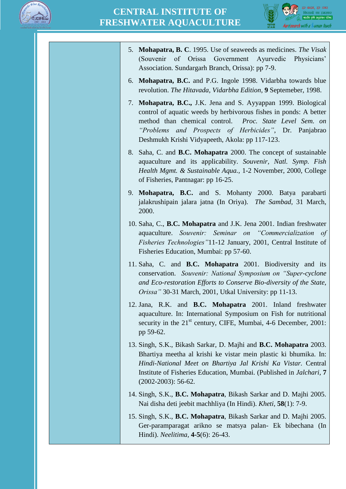



| 5. Mohapatra, B. C. 1995. Use of seaweeds as medicines. The Visak<br>of Orissa Government<br>(Souvenir)<br>Ayurvedic Physicians'<br>Association. Sundargarh Branch, Orissa): pp 7-9.                                                                                                                             |
|------------------------------------------------------------------------------------------------------------------------------------------------------------------------------------------------------------------------------------------------------------------------------------------------------------------|
| 6. Mohapatra, B.C. and P.G. Ingole 1998. Vidarbha towards blue<br>revolution. The Hitavada, Vidarbha Edition, 9 Septemeber, 1998.                                                                                                                                                                                |
| Mohapatra, B.C., J.K. Jena and S. Ayyappan 1999. Biological<br>7.<br>control of aquatic weeds by herbivorous fishes in ponds: A better<br>method than chemical control. Proc. State Level Sem. on<br>"Problems and Prospects of Herbicides", Dr. Panjabrao<br>Deshmukh Krishi Vidyapeeth, Akola: pp 117-123.     |
| 8. Saha, C. and <b>B.C. Mohapatra</b> 2000. The concept of sustainable<br>aquaculture and its applicability. Souvenir, Natl. Symp. Fish<br>Health Mgmt. & Sustainable Aqua., 1-2 November, 2000, College<br>of Fisheries, Pantnagar: pp 16-25.                                                                   |
| 9. Mohapatra, B.C. and S. Mohanty 2000. Batya parabarti<br>jalakrushipain jalara jatna (In Oriya). The Sambad, 31 March,<br>2000.                                                                                                                                                                                |
| 10. Saha, C., B.C. Mohapatra and J.K. Jena 2001. Indian freshwater<br>aquaculture. Souvenir: Seminar on "Commercialization of<br><i>Fisheries Technologies</i> "11-12 January, 2001, Central Institute of<br>Fisheries Education, Mumbai: pp 57-60.                                                              |
| 11. Saha, C. and <b>B.C. Mohapatra</b> 2001. Biodiversity and its<br>conservation. Souvenir: National Symposium on "Super-cyclone<br>and Eco-restoration Efforts to Conserve Bio-diversity of the State,<br>Orissa" 30-31 March, 2001, Utkal University: pp 11-13.                                               |
| 12. Jana, R.K. and <b>B.C. Mohapatra</b> 2001. Inland freshwater<br>aquaculture. In: International Symposium on Fish for nutritional<br>security in the 21 <sup>st</sup> century, CIFE, Mumbai, 4-6 December, 2001:<br>pp 59-62.                                                                                 |
| 13. Singh, S.K., Bikash Sarkar, D. Majhi and <b>B.C. Mohapatra</b> 2003.<br>Bhartiya meetha al krishi ke vistar mein plastic ki bhumika. In:<br>Hindi-National Meet on Bhartiya Jal Krishi Ka Vistar. Central<br>Institute of Fisheries Education, Mumbai. (Published in Jalchari, 7<br>$(2002 - 2003)$ : 56-62. |
| 14. Singh, S.K., B.C. Mohapatra, Bikash Sarkar and D. Majhi 2005.<br>Nai disha deti jeebit machhliya (In Hindi). Kheti, 58(1): 7-9.                                                                                                                                                                              |
| 15. Singh, S.K., B.C. Mohapatra, Bikash Sarkar and D. Majhi 2005.<br>Ger-paramparagat arikno se matsya palan- Ek bibechana (In<br>Hindi). Neelitima, 4-5(6): 26-43.                                                                                                                                              |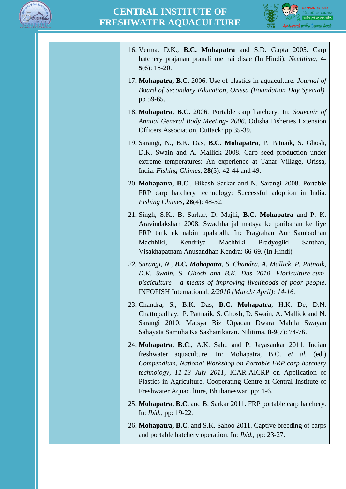



| 16. Verma, D.K., <b>B.C. Mohapatra</b> and S.D. Gupta 2005. Carp<br>hatchery prajanan pranali me nai disae (In Hindi). Neelitima, 4-<br>$5(6)$ : 18-20.                                                                                                                                                                                                                       |
|-------------------------------------------------------------------------------------------------------------------------------------------------------------------------------------------------------------------------------------------------------------------------------------------------------------------------------------------------------------------------------|
| 17. Mohapatra, B.C. 2006. Use of plastics in aquaculture. Journal of<br>Board of Secondary Education, Orissa (Foundation Day Special).<br>pp 59-65.                                                                                                                                                                                                                           |
| 18. Mohapatra, B.C. 2006. Portable carp hatchery. In: Souvenir of<br>Annual General Body Meeting- 2006. Odisha Fisheries Extension<br>Officers Association, Cuttack: pp 35-39.                                                                                                                                                                                                |
| 19. Sarangi, N., B.K. Das, B.C. Mohapatra, P. Patnaik, S. Ghosh,<br>D.K. Swain and A. Mallick 2008. Carp seed production under<br>extreme temperatures: An experience at Tanar Village, Orissa,<br>India. Fishing Chimes, $28(3)$ : 42-44 and 49.                                                                                                                             |
| 20. Mohapatra, B.C., Bikash Sarkar and N. Sarangi 2008. Portable<br>FRP carp hatchery technology: Successful adoption in India.<br>Fishing Chimes, $28(4)$ : 48-52.                                                                                                                                                                                                           |
| 21. Singh, S.K., B. Sarkar, D. Majhi, B.C. Mohapatra and P. K.<br>Aravindakshan 2008. Swachha jal matsya ke paribahan ke liye<br>FRP tank ek nabin upalabdh. In: Pragrahan Aur Sambadhan<br>Kendriya<br>Machhiki,<br>Machhiki<br>Pradyogiki<br>Santhan,<br>Visakhapatnam Anusandhan Kendra: 66-69. (In Hindi)                                                                 |
| 22. Sarangi, N., <b>B.C. Mohapatra</b> , S. Chandra, A. Mallick, P. Patnaik,<br>D.K. Swain, S. Ghosh and B.K. Das 2010. Floriculture-cum-<br>pisciculture - a means of improving livelihoods of poor people.<br>INFOFISH International, 2/2010 (March/April): 14-16.                                                                                                          |
| 23. Chandra, S., B.K. Das, B.C. Mohapatra, H.K. De, D.N.<br>Chattopadhay, P. Pattnaik, S. Ghosh, D. Swain, A. Mallick and N.<br>Sarangi 2010. Matsya Biz Utpadan Dwara Mahila Swayan<br>Sahayata Samuha Ka Sashatrikaran. Nilitima, 8-9(7): 74-76.                                                                                                                            |
| 24. Mohapatra, B.C., A.K. Sahu and P. Jayasankar 2011. Indian<br>freshwater aquaculture. In: Mohapatra, B.C. et al. (ed.)<br>Compendium, National Workshop on Portable FRP carp hatchery<br>technology, 11-13 July 2011, ICAR-AICRP on Application of<br>Plastics in Agriculture, Cooperating Centre at Central Institute of<br>Freshwater Aquaculture, Bhubaneswar: pp: 1-6. |
| 25. Mohapatra, B.C. and B. Sarkar 2011. FRP portable carp hatchery.<br>In: <i>Ibid.</i> , pp: 19-22.                                                                                                                                                                                                                                                                          |
| 26. Mohapatra, B.C. and S.K. Sahoo 2011. Captive breeding of carps<br>and portable hatchery operation. In: <i>Ibid.</i> , pp: 23-27.                                                                                                                                                                                                                                          |